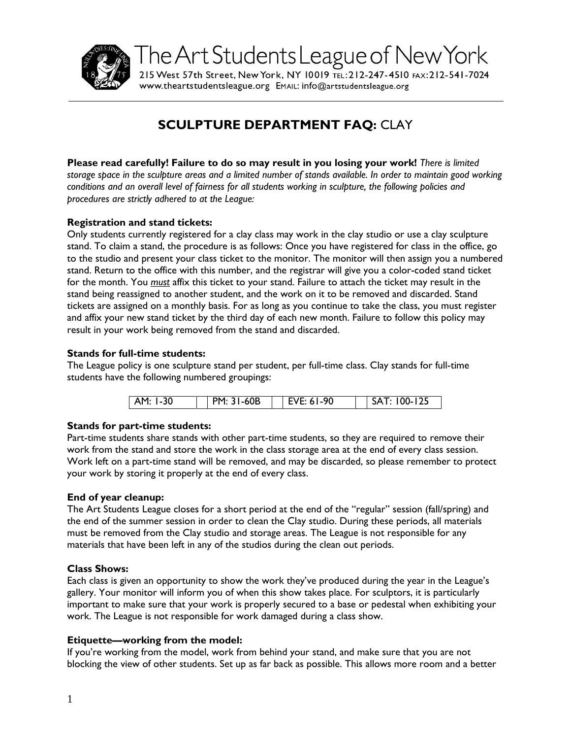

The Art Students League of New York

215 West 57th Street, New York, NY 10019 TEL: 212-247-4510 FAX: 212-541-7024 WWW.theartstudentsleague.org EMAIL: info@artstudentsleague.org

# **SCULPTURE DEPARTMENT FAQ:** CLAY

**Please read carefully! Failure to do so may result in you losing your work!** *There is limited storage space in the sculpture areas and a limited number of stands available. In order to maintain good working conditions and an overall level of fairness for all students working in sculpture, the following policies and procedures are strictly adhered to at the League:*

# **Registration and stand tickets:**

Only students currently registered for a clay class may work in the clay studio or use a clay sculpture stand. To claim a stand, the procedure is as follows: Once you have registered for class in the office, go to the studio and present your class ticket to the monitor. The monitor will then assign you a numbered stand. Return to the office with this number, and the registrar will give you a color-coded stand ticket for the month. You *must* affix this ticket to your stand. Failure to attach the ticket may result in the stand being reassigned to another student, and the work on it to be removed and discarded. Stand tickets are assigned on a monthly basis. For as long as you continue to take the class, you must register and affix your new stand ticket by the third day of each new month. Failure to follow this policy may result in your work being removed from the stand and discarded.

### **Stands for full-time students:**

The League policy is one sculpture stand per student, per full-time class. Clay stands for full-time students have the following numbered groupings:

|  | l-30<br>∆м ∙ |  | $-60B$<br><b>DM.</b> 21 |  | ∕E: 61-90 |  | 100-125<br>5A |
|--|--------------|--|-------------------------|--|-----------|--|---------------|
|--|--------------|--|-------------------------|--|-----------|--|---------------|

# **Stands for part-time students:**

Part-time students share stands with other part-time students, so they are required to remove their work from the stand and store the work in the class storage area at the end of every class session. Work left on a part-time stand will be removed, and may be discarded, so please remember to protect your work by storing it properly at the end of every class.

#### **End of year cleanup:**

The Art Students League closes for a short period at the end of the "regular" session (fall/spring) and the end of the summer session in order to clean the Clay studio. During these periods, all materials must be removed from the Clay studio and storage areas. The League is not responsible for any materials that have been left in any of the studios during the clean out periods.

#### **Class Shows:**

Each class is given an opportunity to show the work they've produced during the year in the League's gallery. Your monitor will inform you of when this show takes place. For sculptors, it is particularly important to make sure that your work is properly secured to a base or pedestal when exhibiting your work. The League is not responsible for work damaged during a class show.

#### **Etiquette—working from the model:**

If you're working from the model, work from behind your stand, and make sure that you are not blocking the view of other students. Set up as far back as possible. This allows more room and a better